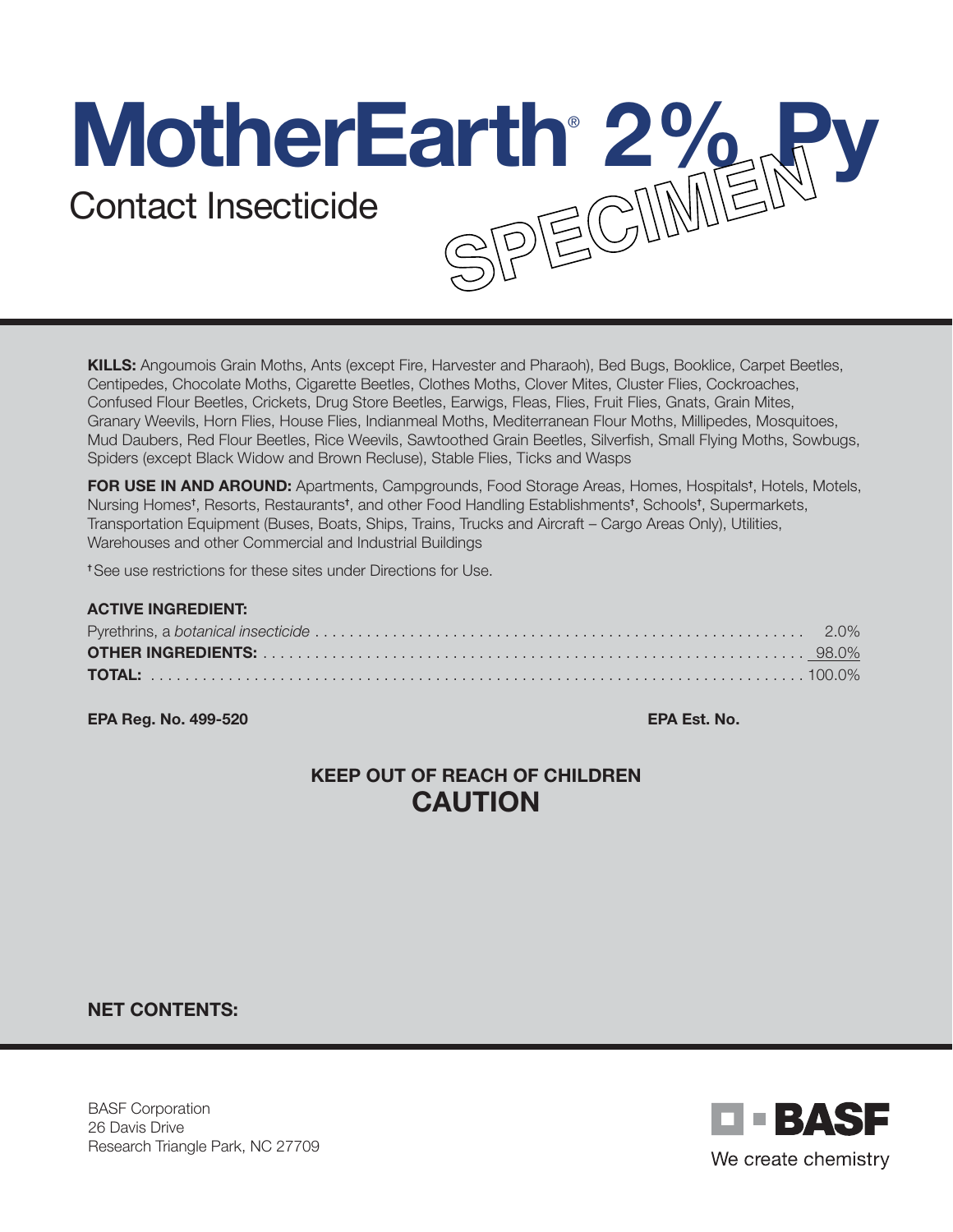# **MotherEarth**® **2% Py** Contact Insecticide

KILLS: Angoumois Grain Moths, Ants (except Fire, Harvester and Pharaoh), Bed Bugs, Booklice, Carpet Beetles, Centipedes, Chocolate Moths, Cigarette Beetles, Clothes Moths, Clover Mites, Cluster Flies, Cockroaches, Confused Flour Beetles, Crickets, Drug Store Beetles, Earwigs, Fleas, Flies, Fruit Flies, Gnats, Grain Mites, Granary Weevils, Horn Flies, House Flies, Indianmeal Moths, Mediterranean Flour Moths, Millipedes, Mosquitoes, Mud Daubers, Red Flour Beetles, Rice Weevils, Sawtoothed Grain Beetles, Silverfish, Small Flying Moths, Sowbugs, Spiders (except Black Widow and Brown Recluse), Stable Flies, Ticks and Wasps

FOR USE IN AND AROUND: Apartments, Campgrounds, Food Storage Areas, Homes, Hospitals<sup>t</sup>, Hotels, Motels, Nursing Homes†, Resorts, Restaurants†, and other Food Handling Establishments†, Schools†, Supermarkets, Transportation Equipment (Buses, Boats, Ships, Trains, Trucks and Aircraft – Cargo Areas Only), Utilities, Warehouses and other Commercial and Industrial Buildings

† See use restrictions for these sites under Directions for Use.

| <b>ACTIVE INGREDIENT:</b> |  |
|---------------------------|--|
|                           |  |
|                           |  |
|                           |  |

EPA Reg. No. 499-520 EPA Est. No.

# KEEP OUT OF REACH OF CHILDREN CAUTION

NET CONTENTS:

BASF Corporation 26 Davis Drive Research Triangle Park, NC 27709

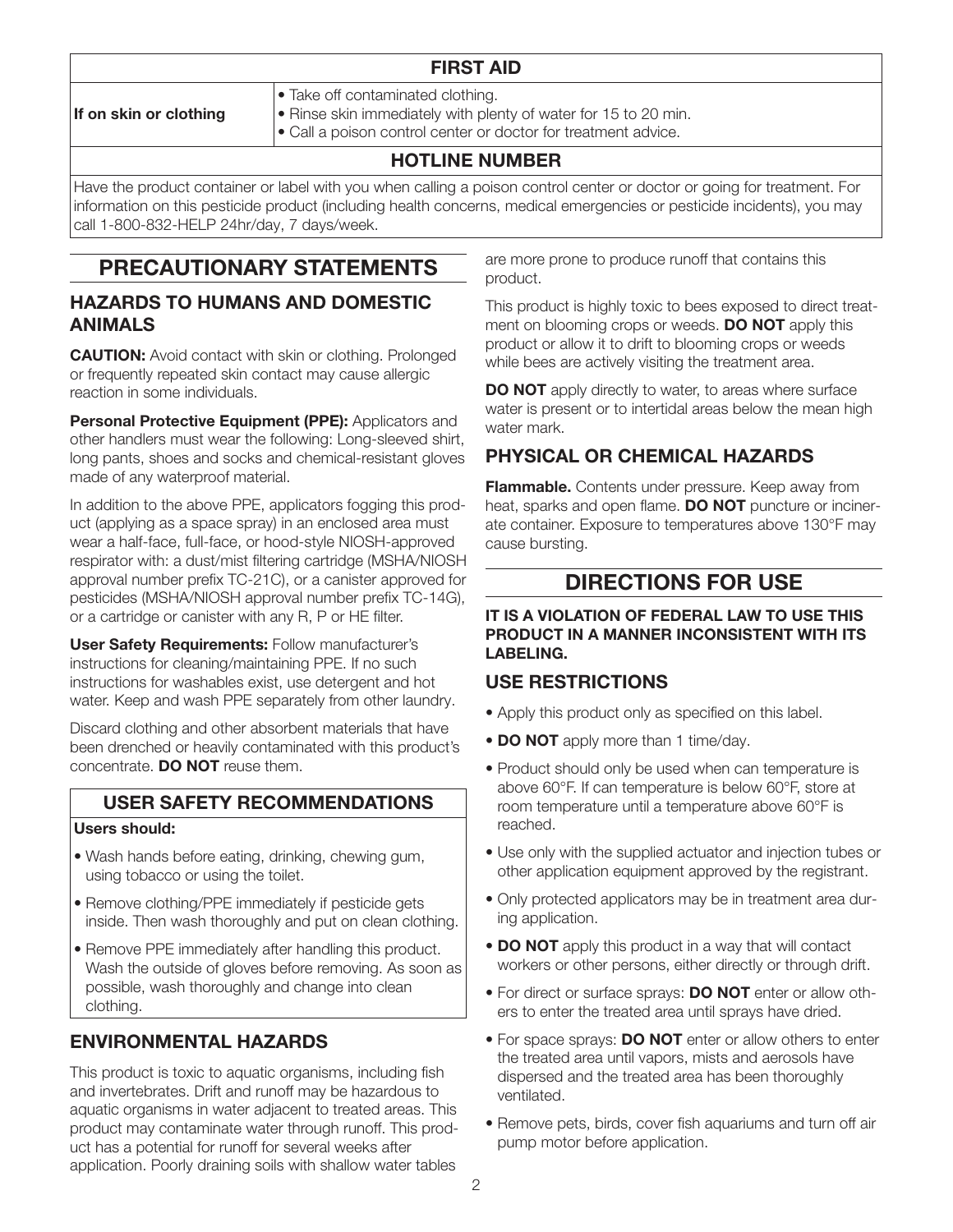## FIRST AID

If on skin or clothing

- Take off contaminated clothing.
- Rinse skin immediately with plenty of water for 15 to 20 min.
- Call a poison control center or doctor for treatment advice.

## HOTLINE NUMBER

Have the product container or label with you when calling a poison control center or doctor or going for treatment. For information on this pesticide product (including health concerns, medical emergencies or pesticide incidents), you may call 1-800-832-HELP 24hr/day, 7 days/week.

# PRECAUTIONARY STATEMENTS

## HAZARDS TO HUMANS AND DOMESTIC ANIMALS

**CAUTION:** Avoid contact with skin or clothing. Prolonged or frequently repeated skin contact may cause allergic reaction in some individuals.

Personal Protective Equipment (PPE): Applicators and other handlers must wear the following: Long-sleeved shirt, long pants, shoes and socks and chemical-resistant gloves made of any waterproof material.

In addition to the above PPE, applicators fogging this product (applying as a space spray) in an enclosed area must wear a half-face, full-face, or hood-style NIOSH-approved respirator with: a dust/mist filtering cartridge (MSHA/NIOSH approval number prefix TC-21C), or a canister approved for pesticides (MSHA/NIOSH approval number prefix TC-14G), or a cartridge or canister with any R, P or HE filter.

User Safety Requirements: Follow manufacturer's instructions for cleaning/maintaining PPE. If no such instructions for washables exist, use detergent and hot water. Keep and wash PPE separately from other laundry.

Discard clothing and other absorbent materials that have been drenched or heavily contaminated with this product's concentrate. **DO NOT** reuse them.

## USER SAFETY RECOMMENDATIONS

#### Users should:

- Wash hands before eating, drinking, chewing gum, using tobacco or using the toilet.
- Remove clothing/PPE immediately if pesticide gets inside. Then wash thoroughly and put on clean clothing.
- Remove PPE immediately after handling this product. Wash the outside of gloves before removing. As soon as possible, wash thoroughly and change into clean clothing.

## ENVIRONMENTAL HAZARDS

This product is toxic to aquatic organisms, including fish and invertebrates. Drift and runoff may be hazardous to aquatic organisms in water adjacent to treated areas. This product may contaminate water through runoff. This product has a potential for runoff for several weeks after application. Poorly draining soils with shallow water tables

are more prone to produce runoff that contains this product.

This product is highly toxic to bees exposed to direct treatment on blooming crops or weeds. **DO NOT** apply this product or allow it to drift to blooming crops or weeds while bees are actively visiting the treatment area.

**DO NOT** apply directly to water, to areas where surface water is present or to intertidal areas below the mean high water mark.

## PHYSICAL OR CHEMICAL HAZARDS

**Flammable.** Contents under pressure. Keep away from heat, sparks and open flame. DO NOT puncture or incinerate container. Exposure to temperatures above 130°F may cause bursting.

# DIRECTIONS FOR USE

#### IT IS A VIOLATION OF FEDERAL LAW TO USE THIS PRODUCT IN A MANNER INCONSISTENT WITH ITS LABELING.

## USE RESTRICTIONS

- Apply this product only as specified on this label.
- DO NOT apply more than 1 time/day.
- Product should only be used when can temperature is above 60°F. If can temperature is below 60°F, store at room temperature until a temperature above 60°F is reached.
- Use only with the supplied actuator and injection tubes or other application equipment approved by the registrant.
- Only protected applicators may be in treatment area during application.
- **DO NOT** apply this product in a way that will contact workers or other persons, either directly or through drift.
- For direct or surface sprays: **DO NOT** enter or allow others to enter the treated area until sprays have dried.
- For space sprays: DO NOT enter or allow others to enter the treated area until vapors, mists and aerosols have dispersed and the treated area has been thoroughly ventilated.
- Remove pets, birds, cover fish aquariums and turn off air pump motor before application.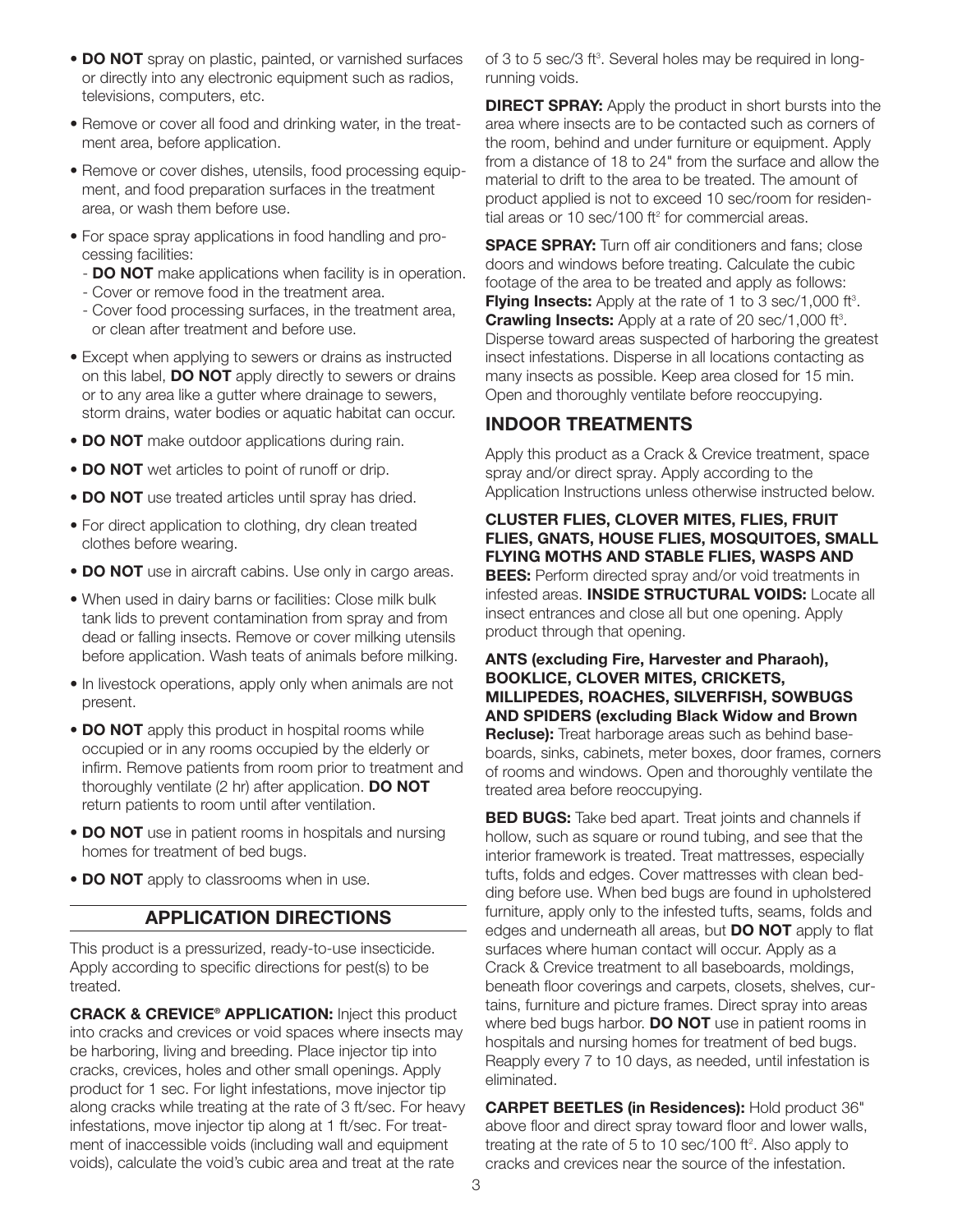- DO NOT spray on plastic, painted, or varnished surfaces or directly into any electronic equipment such as radios, televisions, computers, etc.
- Remove or cover all food and drinking water, in the treatment area, before application.
- Remove or cover dishes, utensils, food processing equipment, and food preparation surfaces in the treatment area, or wash them before use.
- For space spray applications in food handling and processing facilities:
	- **DO NOT** make applications when facility is in operation.
	- Cover or remove food in the treatment area.
	- Cover food processing surfaces, in the treatment area, or clean after treatment and before use.
- Except when applying to sewers or drains as instructed on this label, **DO NOT** apply directly to sewers or drains or to any area like a gutter where drainage to sewers, storm drains, water bodies or aquatic habitat can occur.
- DO NOT make outdoor applications during rain.
- DO NOT wet articles to point of runoff or drip.
- DO NOT use treated articles until spray has dried.
- For direct application to clothing, dry clean treated clothes before wearing.
- **DO NOT** use in aircraft cabins. Use only in cargo areas.
- When used in dairy barns or facilities: Close milk bulk tank lids to prevent contamination from spray and from dead or falling insects. Remove or cover milking utensils before application. Wash teats of animals before milking.
- In livestock operations, apply only when animals are not present.
- **DO NOT** apply this product in hospital rooms while occupied or in any rooms occupied by the elderly or infirm. Remove patients from room prior to treatment and thoroughly ventilate (2 hr) after application. DO NOT return patients to room until after ventilation.
- **DO NOT** use in patient rooms in hospitals and nursing homes for treatment of bed bugs.
- DO NOT apply to classrooms when in use.

#### APPLICATION DIRECTIONS

This product is a pressurized, ready-to-use insecticide. Apply according to specific directions for pest(s) to be treated.

CRACK & CREVICE® APPLICATION: Inject this product into cracks and crevices or void spaces where insects may be harboring, living and breeding. Place injector tip into cracks, crevices, holes and other small openings. Apply product for 1 sec. For light infestations, move injector tip along cracks while treating at the rate of 3 ft/sec. For heavy infestations, move injector tip along at 1 ft/sec. For treatment of inaccessible voids (including wall and equipment voids), calculate the void's cubic area and treat at the rate

of 3 to 5 sec/3 ft<sup>3</sup>. Several holes may be required in longrunning voids.

**DIRECT SPRAY:** Apply the product in short bursts into the area where insects are to be contacted such as corners of the room, behind and under furniture or equipment. Apply from a distance of 18 to 24" from the surface and allow the material to drift to the area to be treated. The amount of product applied is not to exceed 10 sec/room for residential areas or 10 sec/100 ft<sup>2</sup> for commercial areas.

**SPACE SPRAY:** Turn off air conditioners and fans; close doors and windows before treating. Calculate the cubic footage of the area to be treated and apply as follows: **Flying Insects:** Apply at the rate of 1 to 3 sec/1,000 ft<sup>3</sup>. Crawling Insects: Apply at a rate of 20 sec/1,000 ft<sup>3</sup>. Disperse toward areas suspected of harboring the greatest insect infestations. Disperse in all locations contacting as many insects as possible. Keep area closed for 15 min. Open and thoroughly ventilate before reoccupying.

### INDOOR TREATMENTS

Apply this product as a Crack & Crevice treatment, space spray and/or direct spray. Apply according to the Application Instructions unless otherwise instructed below.

#### CLUSTER FLIES, CLOVER MITES, FLIES, FRUIT FLIES, GNATS, HOUSE FLIES, MOSQUITOES, SMALL FLYING MOTHS AND STABLE FLIES, WASPS AND **BEES:** Perform directed spray and/or void treatments in

infested areas. INSIDE STRUCTURAL VOIDS: Locate all insect entrances and close all but one opening. Apply product through that opening.

ANTS (excluding Fire, Harvester and Pharaoh), BOOKLICE, CLOVER MITES, CRICKETS, MILLIPEDES, ROACHES, SILVERFISH, SOWBUGS AND SPIDERS (excluding Black Widow and Brown Recluse): Treat harborage areas such as behind baseboards, sinks, cabinets, meter boxes, door frames, corners of rooms and windows. Open and thoroughly ventilate the treated area before reoccupying.

**BED BUGS:** Take bed apart. Treat joints and channels if hollow, such as square or round tubing, and see that the interior framework is treated. Treat mattresses, especially tufts, folds and edges. Cover mattresses with clean bedding before use. When bed bugs are found in upholstered furniture, apply only to the infested tufts, seams, folds and edges and underneath all areas, but **DO NOT** apply to flat surfaces where human contact will occur. Apply as a Crack & Crevice treatment to all baseboards, moldings, beneath floor coverings and carpets, closets, shelves, curtains, furniture and picture frames. Direct spray into areas where bed bugs harbor. **DO NOT** use in patient rooms in hospitals and nursing homes for treatment of bed bugs. Reapply every 7 to 10 days, as needed, until infestation is eliminated.

CARPET BEETLES (in Residences): Hold product 36" above floor and direct spray toward floor and lower walls, treating at the rate of 5 to 10 sec/100 ft<sup>2</sup>. Also apply to cracks and crevices near the source of the infestation.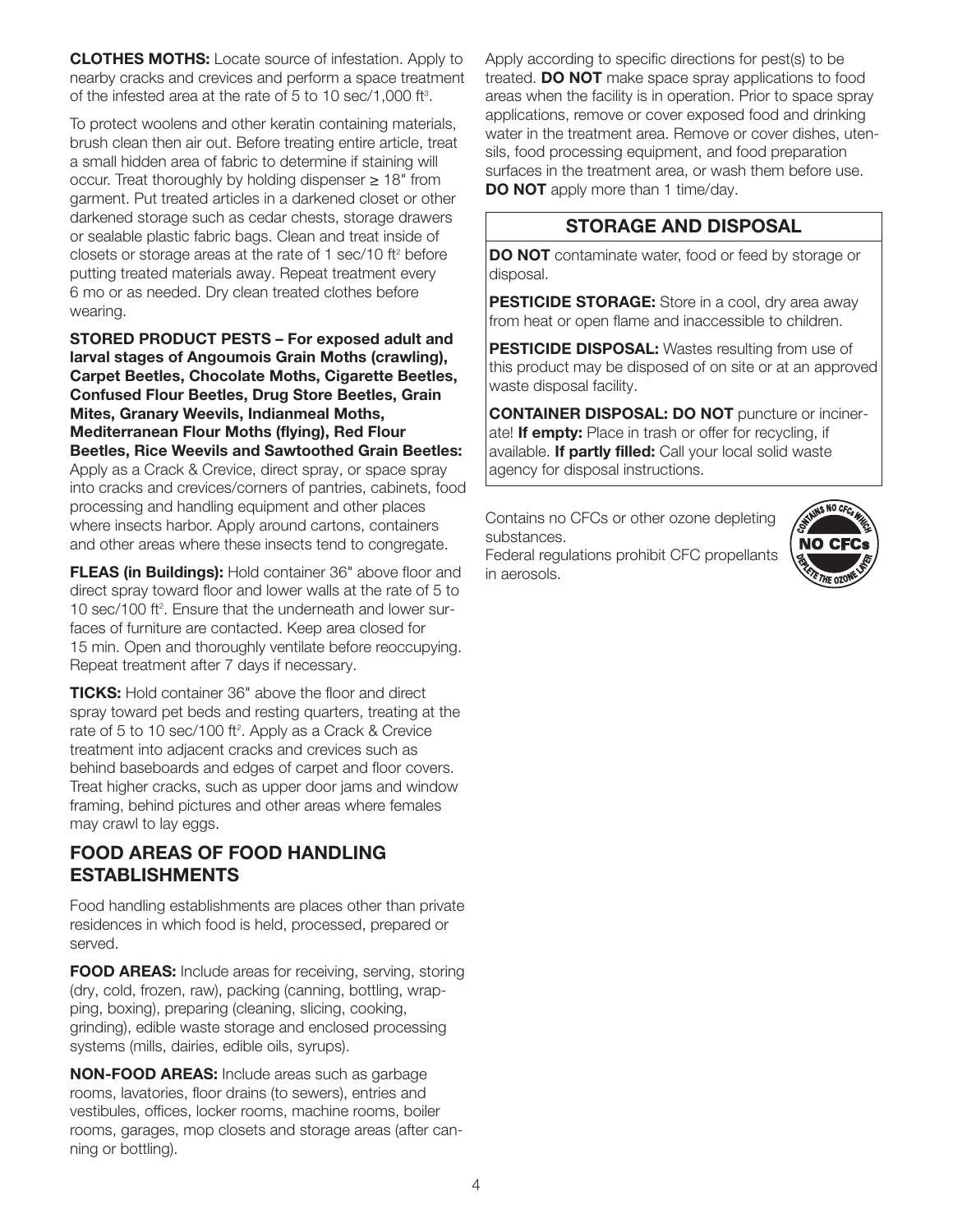CLOTHES MOTHS: Locate source of infestation. Apply to nearby cracks and crevices and perform a space treatment of the infested area at the rate of 5 to 10 sec/1,000 ft3 .

To protect woolens and other keratin containing materials, brush clean then air out. Before treating entire article, treat a small hidden area of fabric to determine if staining will occur. Treat thoroughly by holding dispenser ≥ 18" from garment. Put treated articles in a darkened closet or other darkened storage such as cedar chests, storage drawers or sealable plastic fabric bags. Clean and treat inside of closets or storage areas at the rate of 1 sec/10  $ft<sup>2</sup>$  before putting treated materials away. Repeat treatment every 6 mo or as needed. Dry clean treated clothes before wearing.

STORED PRODUCT PESTS – For exposed adult and larval stages of Angoumois Grain Moths (crawling), Carpet Beetles, Chocolate Moths, Cigarette Beetles, Confused Flour Beetles, Drug Store Beetles, Grain Mites, Granary Weevils, Indianmeal Moths, Mediterranean Flour Moths (flying), Red Flour Beetles, Rice Weevils and Sawtoothed Grain Beetles: Apply as a Crack & Crevice, direct spray, or space spray into cracks and crevices/corners of pantries, cabinets, food processing and handling equipment and other places where insects harbor. Apply around cartons, containers and other areas where these insects tend to congregate.

FLEAS (in Buildings): Hold container 36" above floor and direct spray toward floor and lower walls at the rate of 5 to 10 sec/100 ft<sup>2</sup>. Ensure that the underneath and lower surfaces of furniture are contacted. Keep area closed for 15 min. Open and thoroughly ventilate before reoccupying. Repeat treatment after 7 days if necessary.

TICKS: Hold container 36" above the floor and direct spray toward pet beds and resting quarters, treating at the rate of 5 to 10 sec/100 ft<sup>2</sup>. Apply as a Crack & Crevice treatment into adjacent cracks and crevices such as behind baseboards and edges of carpet and floor covers. Treat higher cracks, such as upper door jams and window framing, behind pictures and other areas where females may crawl to lay eggs.

## FOOD AREAS OF FOOD HANDLING ESTABLISHMENTS

Food handling establishments are places other than private residences in which food is held, processed, prepared or served.

FOOD AREAS: Include areas for receiving, serving, storing (dry, cold, frozen, raw), packing (canning, bottling, wrapping, boxing), preparing (cleaning, slicing, cooking, grinding), edible waste storage and enclosed processing systems (mills, dairies, edible oils, syrups).

NON-FOOD AREAS: Include areas such as garbage rooms, lavatories, floor drains (to sewers), entries and vestibules, offices, locker rooms, machine rooms, boiler rooms, garages, mop closets and storage areas (after canning or bottling).

Apply according to specific directions for pest(s) to be treated. DO NOT make space spray applications to food areas when the facility is in operation. Prior to space spray applications, remove or cover exposed food and drinking water in the treatment area. Remove or cover dishes, utensils, food processing equipment, and food preparation surfaces in the treatment area, or wash them before use. DO NOT apply more than 1 time/day.

## STORAGE AND DISPOSAL

DO NOT contaminate water, food or feed by storage or disposal.

**PESTICIDE STORAGE:** Store in a cool, dry area away from heat or open flame and inaccessible to children.

PESTICIDE DISPOSAL: Wastes resulting from use of this product may be disposed of on site or at an approved waste disposal facility.

CONTAINER DISPOSAL: DO NOT puncture or incinerate! If empty: Place in trash or offer for recycling, if available. If partly filled: Call your local solid waste agency for disposal instructions.

Contains no CFCs or other ozone depleting substances. Federal regulations prohibit CFC propellants in aerosols.